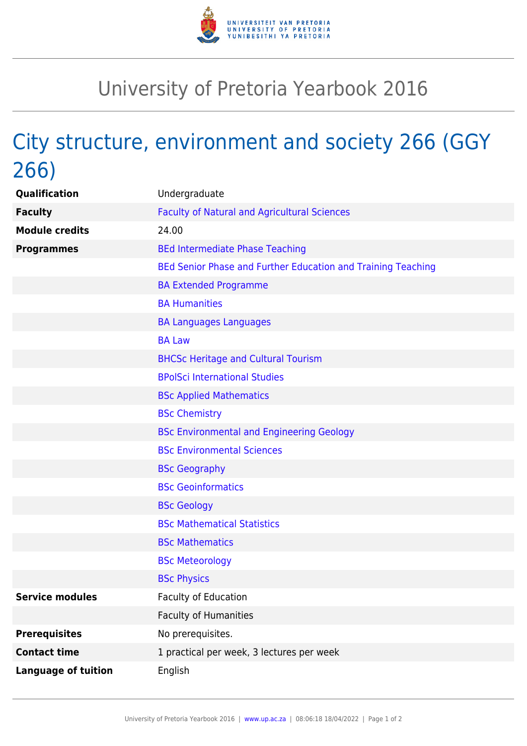

## University of Pretoria Yearbook 2016

## City structure, environment and society 266 (GGY 266)

| Qualification              | Undergraduate                                                |
|----------------------------|--------------------------------------------------------------|
| <b>Faculty</b>             | <b>Faculty of Natural and Agricultural Sciences</b>          |
| <b>Module credits</b>      | 24.00                                                        |
| <b>Programmes</b>          | <b>BEd Intermediate Phase Teaching</b>                       |
|                            | BEd Senior Phase and Further Education and Training Teaching |
|                            | <b>BA Extended Programme</b>                                 |
|                            | <b>BA Humanities</b>                                         |
|                            | <b>BA Languages Languages</b>                                |
|                            | <b>BA Law</b>                                                |
|                            | <b>BHCSc Heritage and Cultural Tourism</b>                   |
|                            | <b>BPolSci International Studies</b>                         |
|                            | <b>BSc Applied Mathematics</b>                               |
|                            | <b>BSc Chemistry</b>                                         |
|                            | <b>BSc Environmental and Engineering Geology</b>             |
|                            | <b>BSc Environmental Sciences</b>                            |
|                            | <b>BSc Geography</b>                                         |
|                            | <b>BSc Geoinformatics</b>                                    |
|                            | <b>BSc Geology</b>                                           |
|                            | <b>BSc Mathematical Statistics</b>                           |
|                            | <b>BSc Mathematics</b>                                       |
|                            | <b>BSc Meteorology</b>                                       |
|                            | <b>BSc Physics</b>                                           |
| <b>Service modules</b>     | <b>Faculty of Education</b>                                  |
|                            | <b>Faculty of Humanities</b>                                 |
| <b>Prerequisites</b>       | No prerequisites.                                            |
| <b>Contact time</b>        | 1 practical per week, 3 lectures per week                    |
| <b>Language of tuition</b> | English                                                      |